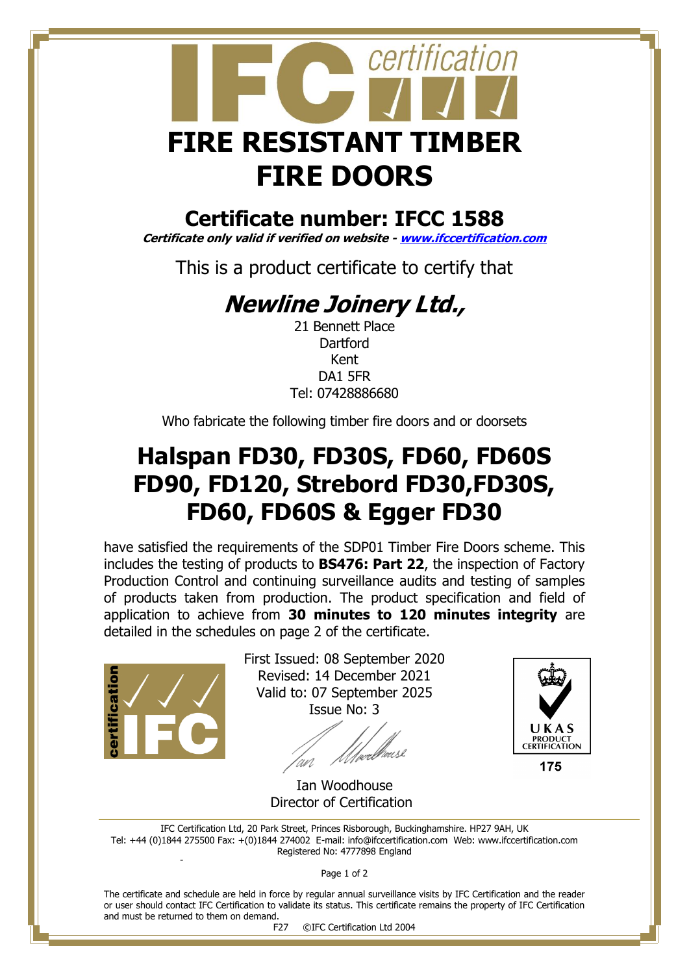

### **Certificate number: IFCC 1588**

**Certificate only valid if verified on website - [www.ifccertification.com](http://www.ifccertification.com/)**

This is a product certificate to certify that

# **Newline Joinery Ltd.,**

21 Bennett Place **Dartford** Kent DA1 5FR Tel: 07428886680

Who fabricate the following timber fire doors and or doorsets

# **Halspan FD30, FD30S, FD60, FD60S FD90, FD120, Strebord FD30,FD30S, FD60, FD60S & Egger FD30**

have satisfied the requirements of the SDP01 Timber Fire Doors scheme. This includes the testing of products to **BS476: Part 22**, the inspection of Factory Production Control and continuing surveillance audits and testing of samples of products taken from production. The product specification and field of application to achieve from **30 minutes to 120 minutes integrity** are detailed in the schedules on page 2 of the certificate.



First Issued: 08 September 2020 Revised: 14 December 2021 Valid to: 07 September 2025 Issue No: 3

//*perb*/house



175

 Ian Woodhouse Director of Certification

IFC Certification Ltd, 20 Park Street, Princes Risborough, Buckinghamshire. HP27 9AH, UK Tel: +44 (0)1844 275500 Fax: +(0)1844 274002 E-mail[: info@ifccertification.com](mailto:info@ifccertification.com) Web: [www.ifccertification.com](http://www.ifccertification.com/) Registered No: 4777898 England -

Page 1 of 2

The certificate and schedule are held in force by regular annual surveillance visits by IFC Certification and the reader or user should contact IFC Certification to validate its status. This certificate remains the property of IFC Certification and must be returned to them on demand.

F27 ©IFC Certification Ltd 2004